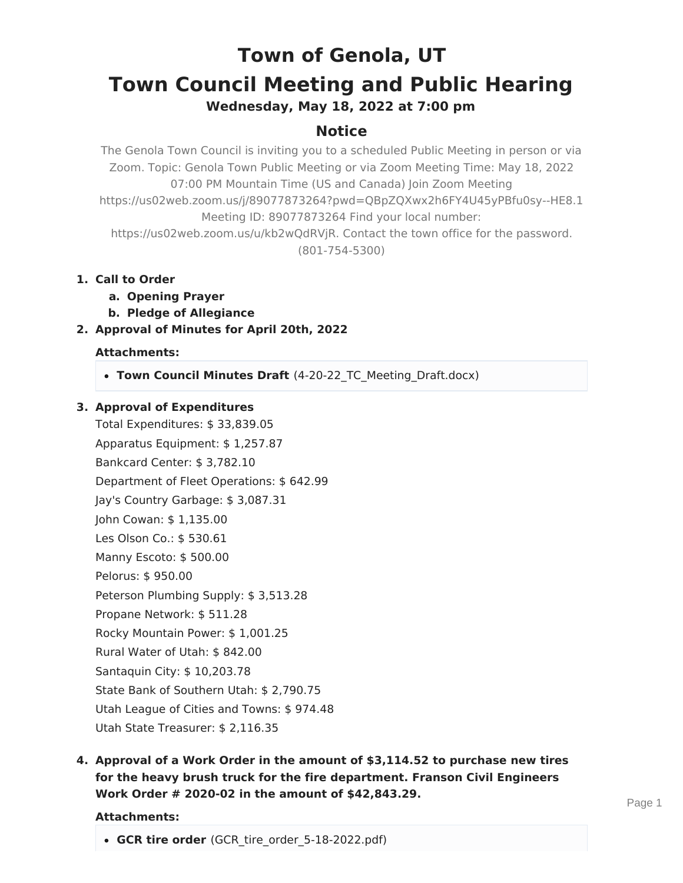# **Town of Genola, UT Town Council Meeting and Public Hearing**

**Wednesday, May 18, 2022 at 7:00 pm**

## **Notice**

The Genola Town Council is inviting you to a scheduled Public Meeting in person or via Zoom. Topic: Genola Town Public Meeting or via Zoom Meeting Time: May 18, 2022 07:00 PM Mountain Time (US and Canada) Join Zoom Meeting https://us02web.zoom.us/j/89077873264?pwd=QBpZQXwx2h6FY4U45yPBfu0sy--HE8.1 Meeting ID: 89077873264 Find your local number: https://us02web.zoom.us/u/kb2wQdRVjR. Contact the town office for the password. (801-754-5300)

- **1. Call to Order**
	- **a. Opening Prayer**
	- **b. Pledge of Allegiance**
- **2. Approval of Minutes for April 20th, 2022**

## **Attachments:**

**Town Council Minutes Draft** (4-20-22\_TC\_Meeting\_Draft.docx)

## **3. Approval of Expenditures**

Total Expenditures: \$ 33,839.05 Apparatus Equipment: \$ 1,257.87 Bankcard Center: \$ 3,782.10 Department of Fleet Operations: \$ 642.99 Jay's Country Garbage: \$ 3,087.31 John Cowan: \$ 1,135.00 Les Olson Co.: \$ 530.61 Manny Escoto: \$ 500.00 Pelorus: \$ 950.00 Peterson Plumbing Supply: \$ 3,513.28 Propane Network: \$ 511.28 Rocky Mountain Power: \$ 1,001.25 Rural Water of Utah: \$ 842.00 Santaquin City: \$ 10,203.78 State Bank of Southern Utah: \$ 2,790.75 Utah League of Cities and Towns: \$ 974.48 Utah State Treasurer: \$ 2,116.35

**4. Approval of a Work Order in the amount of \$3,114.52 to purchase new tires for the heavy brush truck for the fire department. Franson Civil Engineers Work Order # 2020-02 in the amount of \$42,843.29.**

#### **Attachments:**

**GCR tire order** (GCR\_tire\_order\_5-18-2022.pdf)

Page 1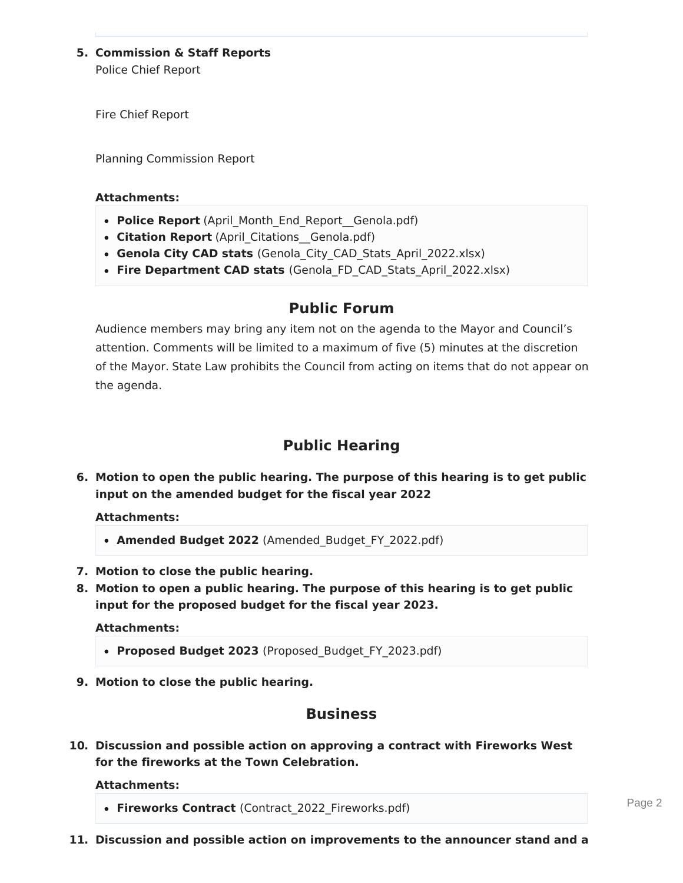## **5. Commission & Staff Reports**

Police Chief Report

Fire Chief Report

Planning Commission Report

#### **Attachments:**

- **Police Report** (April\_Month\_End\_Report\_\_Genola.pdf)
- Citation Report (April Citations Genola.pdf)
- **Genola City CAD stats** (Genola\_City\_CAD\_Stats\_April\_2022.xlsx)
- **Fire Department CAD stats** (Genola\_FD\_CAD\_Stats\_April\_2022.xlsx)

## **Public Forum**

Audience members may bring any item not on the agenda to the Mayor and Council's attention. Comments will be limited to a maximum of five (5) minutes at the discretion of the Mayor. State Law prohibits the Council from acting on items that do not appear on the agenda.

## **Public Hearing**

**6. Motion to open the public hearing. The purpose of this hearing is to get public input on the amended budget for the fiscal year 2022**

**Attachments:**

- **Amended Budget 2022** (Amended\_Budget\_FY\_2022.pdf)
- **7. Motion to close the public hearing.**
- **8. Motion to open a public hearing. The purpose of this hearing is to get public input for the proposed budget for the fiscal year 2023.**

**Attachments:**

- **Proposed Budget 2023** (Proposed\_Budget\_FY\_2023.pdf)
- **9. Motion to close the public hearing.**

## **Business**

**10. Discussion and possible action on approving a contract with Fireworks West for the fireworks at the Town Celebration.**

#### **Attachments:**

**Fireworks Contract** (Contract\_2022\_Fireworks.pdf)

Page 2

**11. Discussion and possible action on improvements to the announcer stand and a**